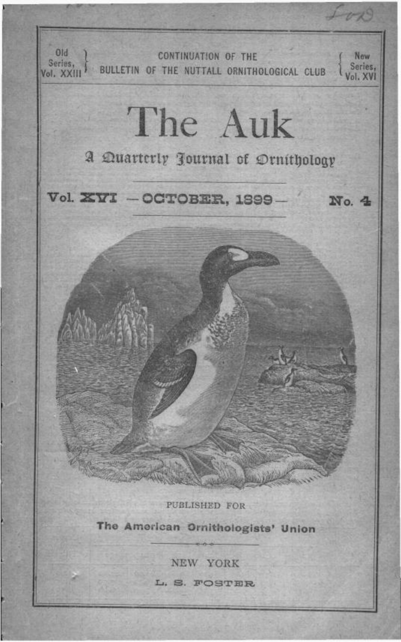